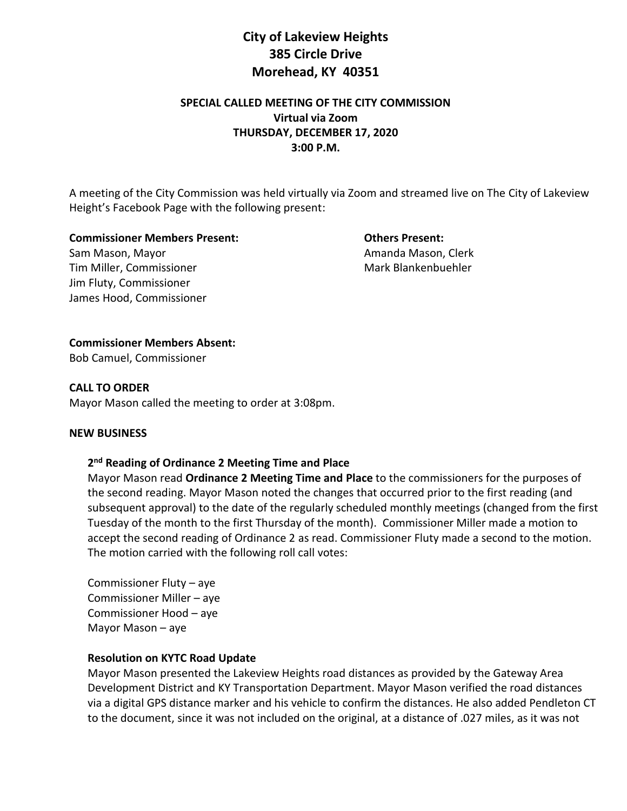# **City of Lakeview Heights 385 Circle Drive Morehead, KY 40351**

## **SPECIAL CALLED MEETING OF THE CITY COMMISSION Virtual via Zoom THURSDAY, DECEMBER 17, 2020 3:00 P.M.**

A meeting of the City Commission was held virtually via Zoom and streamed live on The City of Lakeview Height's Facebook Page with the following present:

**Commissioner Members Present: Others Present:**

Sam Mason, Mayor **Amanda Mason, Clerk** Tim Miller, Commissioner Mark Blankenbuehler Mark Blankenbuehler Jim Fluty, Commissioner James Hood, Commissioner

#### **Commissioner Members Absent:**

Bob Camuel, Commissioner

#### **CALL TO ORDER**

Mayor Mason called the meeting to order at 3:08pm.

#### **NEW BUSINESS**

#### **2 nd Reading of Ordinance 2 Meeting Time and Place**

Mayor Mason read **Ordinance 2 Meeting Time and Place** to the commissioners for the purposes of the second reading. Mayor Mason noted the changes that occurred prior to the first reading (and subsequent approval) to the date of the regularly scheduled monthly meetings (changed from the first Tuesday of the month to the first Thursday of the month). Commissioner Miller made a motion to accept the second reading of Ordinance 2 as read. Commissioner Fluty made a second to the motion. The motion carried with the following roll call votes:

Commissioner Fluty – aye Commissioner Miller – aye Commissioner Hood – aye Mayor Mason – aye

### **Resolution on KYTC Road Update**

Mayor Mason presented the Lakeview Heights road distances as provided by the Gateway Area Development District and KY Transportation Department. Mayor Mason verified the road distances via a digital GPS distance marker and his vehicle to confirm the distances. He also added Pendleton CT to the document, since it was not included on the original, at a distance of .027 miles, as it was not